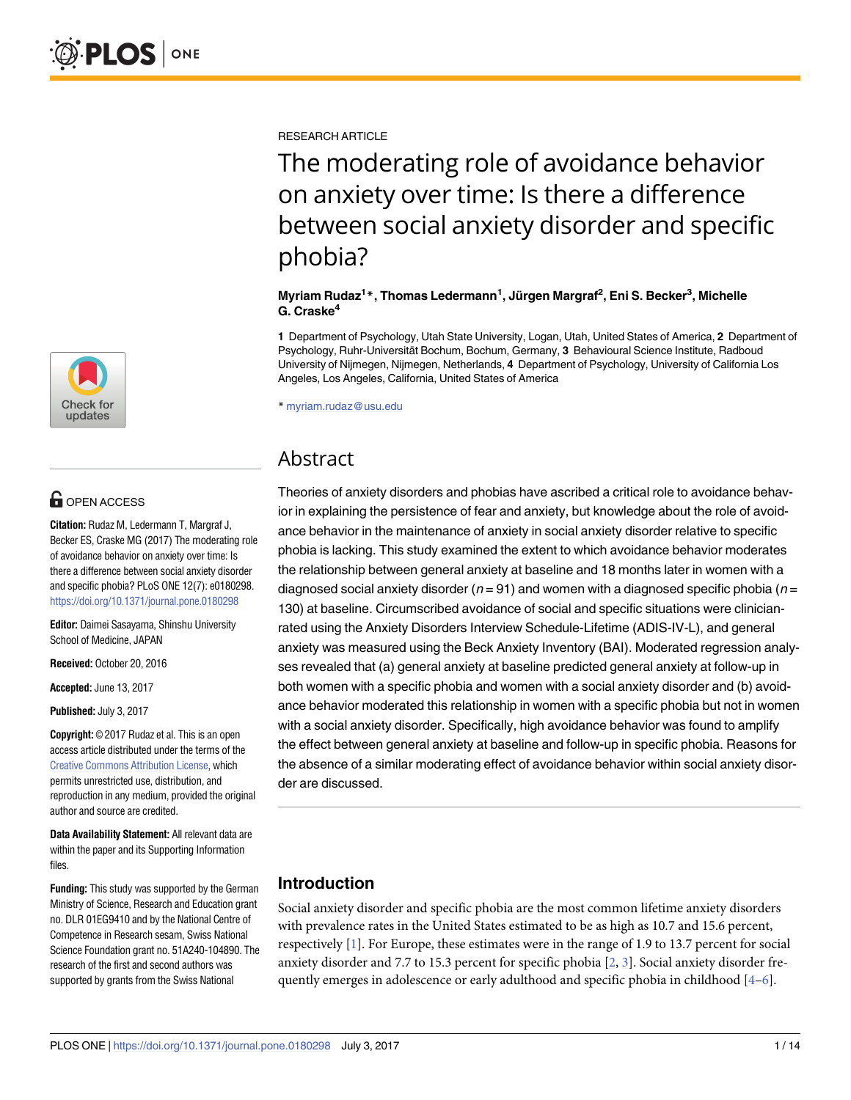

# **G** OPEN ACCESS

**Citation:** Rudaz M, Ledermann T, Margraf J, Becker ES, Craske MG (2017) The moderating role of avoidance behavior on anxiety over time: Is there a difference between social anxiety disorder and specific phobia? PLoS ONE 12(7): e0180298. <https://doi.org/10.1371/journal.pone.0180298>

**Editor:** Daimei Sasayama, Shinshu University School of Medicine, JAPAN

**Received:** October 20, 2016

**Accepted:** June 13, 2017

**Published:** July 3, 2017

**Copyright:** © 2017 Rudaz et al. This is an open access article distributed under the terms of the Creative Commons [Attribution](http://creativecommons.org/licenses/by/4.0/) License, which permits unrestricted use, distribution, and reproduction in any medium, provided the original author and source are credited.

**Data Availability Statement:** All relevant data are within the paper and its Supporting Information files.

**Funding:** This study was supported by the German Ministry of Science, Research and Education grant no. DLR 01EG9410 and by the National Centre of Competence in Research sesam, Swiss National Science Foundation grant no. 51A240-104890. The research of the first and second authors was supported by grants from the Swiss National

<span id="page-0-0"></span>RESEARCH ARTICLE

The moderating role of avoidance behavior on anxiety over time: Is there a difference between social anxiety disorder and specific phobia?

### **Myriam Rudaz1 \*, Thomas Ledermann1 , Ju¨rgen Margraf2 , Eni S. Becker3 , Michelle G. Craske4**

**1** Department of Psychology, Utah State University, Logan, Utah, United States of America, **2** Department of Psychology, Ruhr-Universita¨t Bochum, Bochum, Germany, **3** Behavioural Science Institute, Radboud University of Nijmegen, Nijmegen, Netherlands, **4** Department of Psychology, University of California Los Angeles, Los Angeles, California, United States of America

\* myriam.rudaz@usu.edu

# Abstract

Theories of anxiety disorders and phobias have ascribed a critical role to avoidance behavior in explaining the persistence of fear and anxiety, but knowledge about the role of avoidance behavior in the maintenance of anxiety in social anxiety disorder relative to specific phobia is lacking. This study examined the extent to which avoidance behavior moderates the relationship between general anxiety at baseline and 18 months later in women with a diagnosed social anxiety disorder ( $n = 91$ ) and women with a diagnosed specific phobia ( $n =$ 130) at baseline. Circumscribed avoidance of social and specific situations were clinicianrated using the Anxiety Disorders Interview Schedule-Lifetime (ADIS-IV-L), and general anxiety was measured using the Beck Anxiety Inventory (BAI). Moderated regression analyses revealed that (a) general anxiety at baseline predicted general anxiety at follow-up in both women with a specific phobia and women with a social anxiety disorder and (b) avoidance behavior moderated this relationship in women with a specific phobia but not in women with a social anxiety disorder. Specifically, high avoidance behavior was found to amplify the effect between general anxiety at baseline and follow-up in specific phobia. Reasons for the absence of a similar moderating effect of avoidance behavior within social anxiety disorder are discussed.

# **Introduction**

Social anxiety disorder and specific phobia are the most common lifetime anxiety disorders with prevalence rates in the United States estimated to be as high as 10.7 and 15.6 percent, respectively [\[1\]](#page-9-0). For Europe, these estimates were in the range of 1.9 to 13.7 percent for social anxiety disorder and 7.7 to 15.3 percent for specific phobia [\[2](#page-10-0), [3](#page-10-0)]. Social anxiety disorder frequently emerges in adolescence or early adulthood and specific phobia in childhood  $[4-6]$  $[4-6]$  $[4-6]$  $[4-6]$  $[4-6]$ .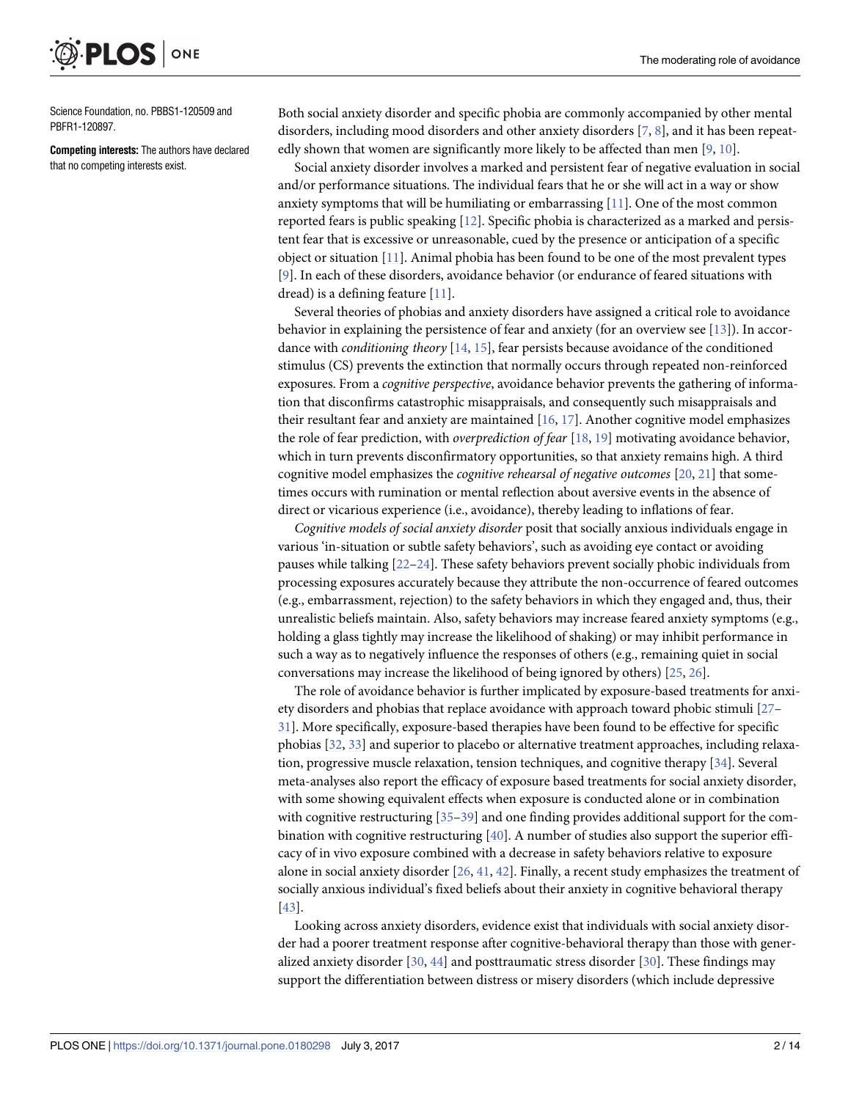<span id="page-1-0"></span>ONE PLOS

Science Foundation, no. PBBS1-120509 and PBFR1-120897.

**Competing interests:** The authors have declared that no competing interests exist.

Both social anxiety disorder and specific phobia are commonly accompanied by other mental disorders, including mood disorders and other anxiety disorders [[7,](#page-10-0) [8\]](#page-10-0), and it has been repeatedly shown that women are significantly more likely to be affected than men [\[9,](#page-10-0) [10\]](#page-10-0).

Social anxiety disorder involves a marked and persistent fear of negative evaluation in social and/or performance situations. The individual fears that he or she will act in a way or show anxiety symptoms that will be humiliating or embarrassing [[11](#page-10-0)]. One of the most common reported fears is public speaking [[12](#page-10-0)]. Specific phobia is characterized as a marked and persistent fear that is excessive or unreasonable, cued by the presence or anticipation of a specific object or situation [\[11\]](#page-10-0). Animal phobia has been found to be one of the most prevalent types [\[9](#page-10-0)]. In each of these disorders, avoidance behavior (or endurance of feared situations with dread) is a defining feature [\[11\]](#page-10-0).

Several theories of phobias and anxiety disorders have assigned a critical role to avoidance behavior in explaining the persistence of fear and anxiety (for an overview see [[13](#page-10-0)]). In accordance with *conditioning theory* [\[14,](#page-10-0) [15\]](#page-10-0), fear persists because avoidance of the conditioned stimulus (CS) prevents the extinction that normally occurs through repeated non-reinforced exposures. From a *cognitive perspective*, avoidance behavior prevents the gathering of information that disconfirms catastrophic misappraisals, and consequently such misappraisals and their resultant fear and anxiety are maintained [[16](#page-10-0), [17](#page-10-0)]. Another cognitive model emphasizes the role of fear prediction, with *overprediction of fear* [[18](#page-10-0), [19](#page-10-0)] motivating avoidance behavior, which in turn prevents disconfirmatory opportunities, so that anxiety remains high. A third cognitive model emphasizes the *cognitive rehearsal of negative outcomes* [[20](#page-10-0), [21](#page-10-0)] that sometimes occurs with rumination or mental reflection about aversive events in the absence of direct or vicarious experience (i.e., avoidance), thereby leading to inflations of fear.

*Cognitive models of social anxiety disorder* posit that socially anxious individuals engage in various 'in-situation or subtle safety behaviors', such as avoiding eye contact or avoiding pauses while talking [\[22–](#page-10-0)[24](#page-11-0)]. These safety behaviors prevent socially phobic individuals from processing exposures accurately because they attribute the non-occurrence of feared outcomes (e.g., embarrassment, rejection) to the safety behaviors in which they engaged and, thus, their unrealistic beliefs maintain. Also, safety behaviors may increase feared anxiety symptoms (e.g., holding a glass tightly may increase the likelihood of shaking) or may inhibit performance in such a way as to negatively influence the responses of others (e.g., remaining quiet in social conversations may increase the likelihood of being ignored by others) [[25](#page-11-0), [26](#page-11-0)].

The role of avoidance behavior is further implicated by exposure-based treatments for anxiety disorders and phobias that replace avoidance with approach toward phobic stimuli [[27](#page-11-0)– [31\]](#page-11-0). More specifically, exposure-based therapies have been found to be effective for specific phobias [[32](#page-11-0), [33](#page-11-0)] and superior to placebo or alternative treatment approaches, including relaxation, progressive muscle relaxation, tension techniques, and cognitive therapy [[34](#page-11-0)]. Several meta-analyses also report the efficacy of exposure based treatments for social anxiety disorder, with some showing equivalent effects when exposure is conducted alone or in combination with cognitive restructuring [[35](#page-11-0)–[39](#page-11-0)] and one finding provides additional support for the combination with cognitive restructuring [[40](#page-11-0)]. A number of studies also support the superior efficacy of in vivo exposure combined with a decrease in safety behaviors relative to exposure alone in social anxiety disorder [\[26,](#page-11-0) [41,](#page-11-0) [42](#page-11-0)]. Finally, a recent study emphasizes the treatment of socially anxious individual's fixed beliefs about their anxiety in cognitive behavioral therapy [\[43\]](#page-11-0).

Looking across anxiety disorders, evidence exist that individuals with social anxiety disorder had a poorer treatment response after cognitive-behavioral therapy than those with generalized anxiety disorder [[30](#page-11-0), [44](#page-11-0)] and posttraumatic stress disorder [[30](#page-11-0)]. These findings may support the differentiation between distress or misery disorders (which include depressive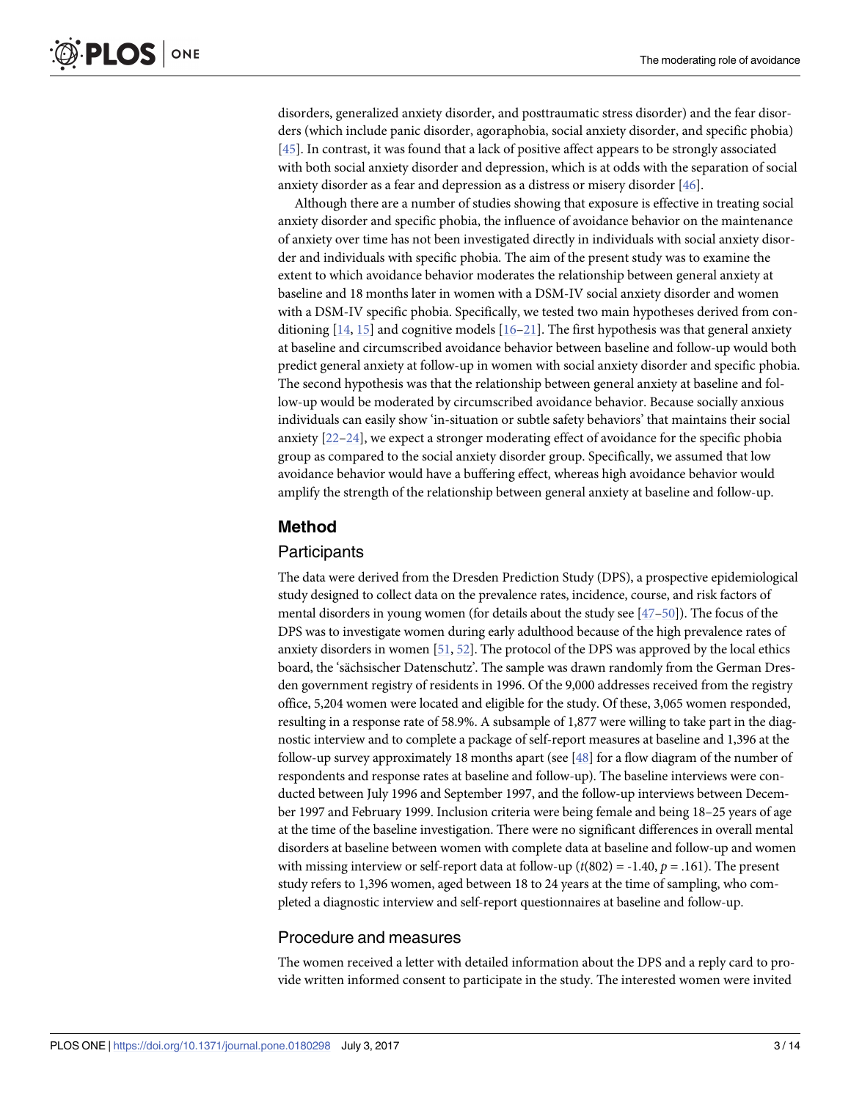<span id="page-2-0"></span>disorders, generalized anxiety disorder, and posttraumatic stress disorder) and the fear disorders (which include panic disorder, agoraphobia, social anxiety disorder, and specific phobia) [\[45\]](#page-11-0). In contrast, it was found that a lack of positive affect appears to be strongly associated with both social anxiety disorder and depression, which is at odds with the separation of social anxiety disorder as a fear and depression as a distress or misery disorder [\[46\]](#page-12-0).

Although there are a number of studies showing that exposure is effective in treating social anxiety disorder and specific phobia, the influence of avoidance behavior on the maintenance of anxiety over time has not been investigated directly in individuals with social anxiety disorder and individuals with specific phobia. The aim of the present study was to examine the extent to which avoidance behavior moderates the relationship between general anxiety at baseline and 18 months later in women with a DSM-IV social anxiety disorder and women with a DSM-IV specific phobia. Specifically, we tested two main hypotheses derived from conditioning  $[14, 15]$  $[14, 15]$  $[14, 15]$  $[14, 15]$  $[14, 15]$  and cognitive models  $[16-21]$ . The first hypothesis was that general anxiety at baseline and circumscribed avoidance behavior between baseline and follow-up would both predict general anxiety at follow-up in women with social anxiety disorder and specific phobia. The second hypothesis was that the relationship between general anxiety at baseline and follow-up would be moderated by circumscribed avoidance behavior. Because socially anxious individuals can easily show 'in-situation or subtle safety behaviors' that maintains their social anxiety [[22](#page-10-0)[–24\]](#page-11-0), we expect a stronger moderating effect of avoidance for the specific phobia group as compared to the social anxiety disorder group. Specifically, we assumed that low avoidance behavior would have a buffering effect, whereas high avoidance behavior would amplify the strength of the relationship between general anxiety at baseline and follow-up.

### **Method**

### Participants

The data were derived from the Dresden Prediction Study (DPS), a prospective epidemiological study designed to collect data on the prevalence rates, incidence, course, and risk factors of mental disorders in young women (for details about the study see [[47–50\]](#page-12-0)). The focus of the DPS was to investigate women during early adulthood because of the high prevalence rates of anxiety disorders in women [[51](#page-12-0), [52](#page-12-0)]. The protocol of the DPS was approved by the local ethics board, the 'sächsischer Datenschutz'. The sample was drawn randomly from the German Dresden government registry of residents in 1996. Of the 9,000 addresses received from the registry office, 5,204 women were located and eligible for the study. Of these, 3,065 women responded, resulting in a response rate of 58.9%. A subsample of 1,877 were willing to take part in the diagnostic interview and to complete a package of self-report measures at baseline and 1,396 at the follow-up survey approximately 18 months apart (see [\[48\]](#page-12-0) for a flow diagram of the number of respondents and response rates at baseline and follow-up). The baseline interviews were conducted between July 1996 and September 1997, and the follow-up interviews between December 1997 and February 1999. Inclusion criteria were being female and being 18–25 years of age at the time of the baseline investigation. There were no significant differences in overall mental disorders at baseline between women with complete data at baseline and follow-up and women with missing interview or self-report data at follow-up (*t*(802) = -1.40, *p* = .161). The present study refers to 1,396 women, aged between 18 to 24 years at the time of sampling, who completed a diagnostic interview and self-report questionnaires at baseline and follow-up.

### Procedure and measures

The women received a letter with detailed information about the DPS and a reply card to provide written informed consent to participate in the study. The interested women were invited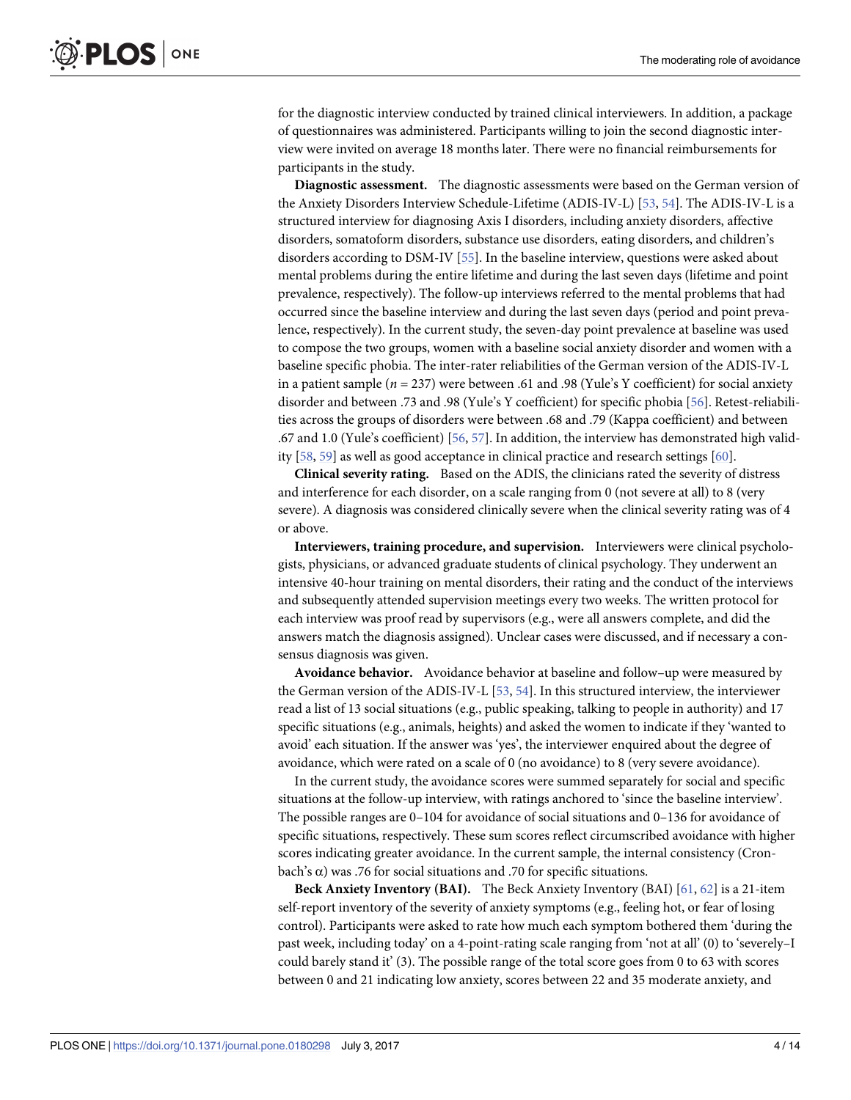<span id="page-3-0"></span>for the diagnostic interview conducted by trained clinical interviewers. In addition, a package of questionnaires was administered. Participants willing to join the second diagnostic interview were invited on average 18 months later. There were no financial reimbursements for participants in the study.

**Diagnostic assessment.** The diagnostic assessments were based on the German version of the Anxiety Disorders Interview Schedule-Lifetime (ADIS-IV-L) [\[53,](#page-12-0) [54\]](#page-12-0). The ADIS-IV-L is a structured interview for diagnosing Axis I disorders, including anxiety disorders, affective disorders, somatoform disorders, substance use disorders, eating disorders, and children's disorders according to DSM-IV [\[55\]](#page-12-0). In the baseline interview, questions were asked about mental problems during the entire lifetime and during the last seven days (lifetime and point prevalence, respectively). The follow-up interviews referred to the mental problems that had occurred since the baseline interview and during the last seven days (period and point prevalence, respectively). In the current study, the seven-day point prevalence at baseline was used to compose the two groups, women with a baseline social anxiety disorder and women with a baseline specific phobia. The inter-rater reliabilities of the German version of the ADIS-IV-L in a patient sample (*n* = 237) were between .61 and .98 (Yule's Y coefficient) for social anxiety disorder and between .73 and .98 (Yule's Y coefficient) for specific phobia [\[56\]](#page-12-0). Retest-reliabilities across the groups of disorders were between .68 and .79 (Kappa coefficient) and between .67 and 1.0 (Yule's coefficient) [\[56,](#page-12-0) [57\]](#page-12-0). In addition, the interview has demonstrated high validity [[58](#page-12-0), [59](#page-12-0)] as well as good acceptance in clinical practice and research settings [[60](#page-12-0)].

**Clinical severity rating.** Based on the ADIS, the clinicians rated the severity of distress and interference for each disorder, on a scale ranging from 0 (not severe at all) to 8 (very severe). A diagnosis was considered clinically severe when the clinical severity rating was of 4 or above.

**Interviewers, training procedure, and supervision.** Interviewers were clinical psychologists, physicians, or advanced graduate students of clinical psychology. They underwent an intensive 40-hour training on mental disorders, their rating and the conduct of the interviews and subsequently attended supervision meetings every two weeks. The written protocol for each interview was proof read by supervisors (e.g., were all answers complete, and did the answers match the diagnosis assigned). Unclear cases were discussed, and if necessary a consensus diagnosis was given.

**Avoidance behavior.** Avoidance behavior at baseline and follow–up were measured by the German version of the ADIS-IV-L [\[53,](#page-12-0) [54\]](#page-12-0). In this structured interview, the interviewer read a list of 13 social situations (e.g., public speaking, talking to people in authority) and 17 specific situations (e.g., animals, heights) and asked the women to indicate if they 'wanted to avoid' each situation. If the answer was 'yes', the interviewer enquired about the degree of avoidance, which were rated on a scale of 0 (no avoidance) to 8 (very severe avoidance).

In the current study, the avoidance scores were summed separately for social and specific situations at the follow-up interview, with ratings anchored to 'since the baseline interview'. The possible ranges are 0–104 for avoidance of social situations and 0–136 for avoidance of specific situations, respectively. These sum scores reflect circumscribed avoidance with higher scores indicating greater avoidance. In the current sample, the internal consistency (Cronbach's α) was .76 for social situations and .70 for specific situations.

**Beck Anxiety Inventory (BAI).** The Beck Anxiety Inventory (BAI) [[61](#page-12-0), [62](#page-12-0)] is a 21-item self-report inventory of the severity of anxiety symptoms (e.g., feeling hot, or fear of losing control). Participants were asked to rate how much each symptom bothered them 'during the past week, including today' on a 4-point-rating scale ranging from 'not at all' (0) to 'severely–I could barely stand it' (3). The possible range of the total score goes from 0 to 63 with scores between 0 and 21 indicating low anxiety, scores between 22 and 35 moderate anxiety, and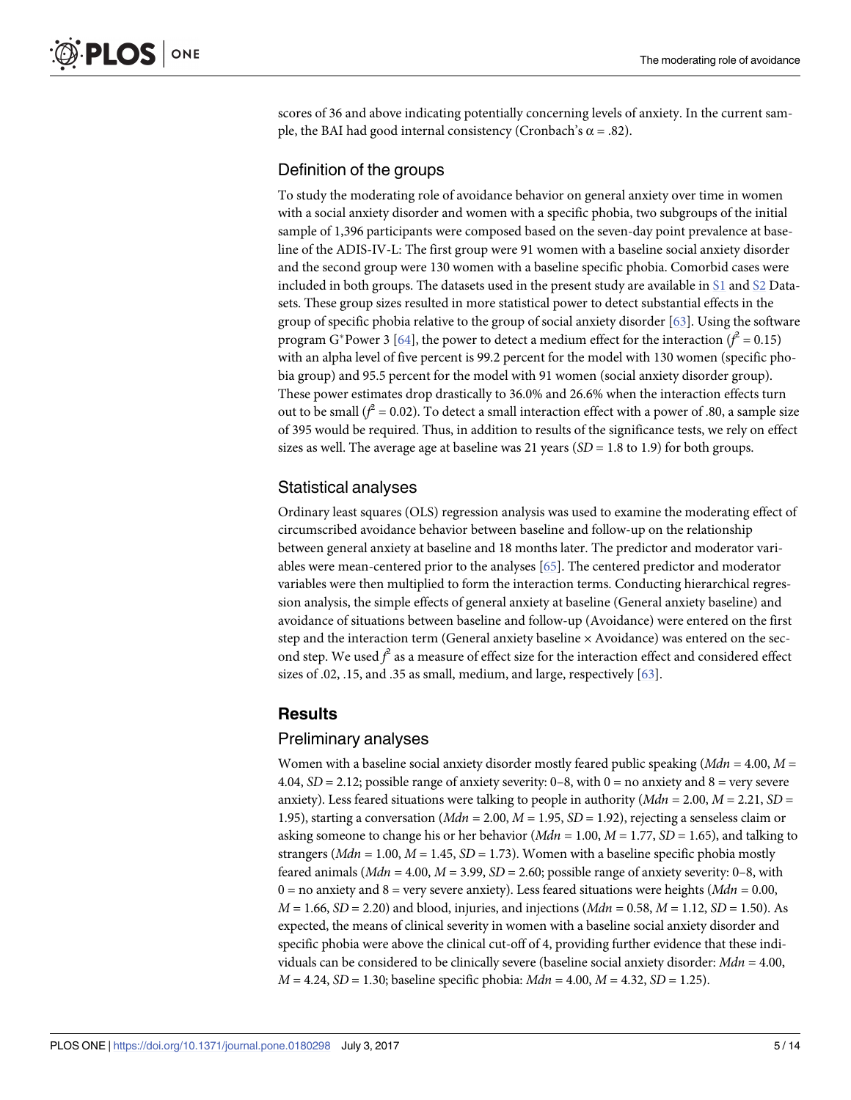<span id="page-4-0"></span>scores of 36 and above indicating potentially concerning levels of anxiety. In the current sample, the BAI had good internal consistency (Cronbach's  $\alpha$  = .82).

### Definition of the groups

To study the moderating role of avoidance behavior on general anxiety over time in women with a social anxiety disorder and women with a specific phobia, two subgroups of the initial sample of 1,396 participants were composed based on the seven-day point prevalence at baseline of the ADIS-IV-L: The first group were 91 women with a baseline social anxiety disorder and the second group were 130 women with a baseline specific phobia. Comorbid cases were included in both groups. The datasets used in the present study are available in [S1](#page-9-0) and [S2](#page-9-0) Datasets. These group sizes resulted in more statistical power to detect substantial effects in the group of specific phobia relative to the group of social anxiety disorder [\[63\]](#page-12-0). Using the software program G<sup>\*</sup>Power 3 [\[64\]](#page-12-0), the power to detect a medium effect for the interaction ( $f^2 = 0.15$ ) with an alpha level of five percent is 99.2 percent for the model with 130 women (specific phobia group) and 95.5 percent for the model with 91 women (social anxiety disorder group). These power estimates drop drastically to 36.0% and 26.6% when the interaction effects turn out to be small  $(f^2 = 0.02)$ . To detect a small interaction effect with a power of .80, a sample size of 395 would be required. Thus, in addition to results of the significance tests, we rely on effect sizes as well. The average age at baseline was 21 years (*SD* = 1.8 to 1.9) for both groups.

# Statistical analyses

Ordinary least squares (OLS) regression analysis was used to examine the moderating effect of circumscribed avoidance behavior between baseline and follow-up on the relationship between general anxiety at baseline and 18 months later. The predictor and moderator variables were mean-centered prior to the analyses [\[65\]](#page-12-0). The centered predictor and moderator variables were then multiplied to form the interaction terms. Conducting hierarchical regression analysis, the simple effects of general anxiety at baseline (General anxiety baseline) and avoidance of situations between baseline and follow-up (Avoidance) were entered on the first step and the interaction term (General anxiety baseline  $\times$  Avoidance) was entered on the second step. We used  $f^2$  as a measure of effect size for the interaction effect and considered effect sizes of .02, .15, and .35 as small, medium, and large, respectively [[63](#page-12-0)].

## **Results**

### Preliminary analyses

Women with a baseline social anxiety disorder mostly feared public speaking (*Mdn* = 4.00, *M* = 4.04,  $SD = 2.12$ ; possible range of anxiety severity: 0–8, with 0 = no anxiety and 8 = very severe anxiety). Less feared situations were talking to people in authority (*Mdn* = 2.00, *M* = 2.21, *SD* = 1.95), starting a conversation (*Mdn* = 2.00, *M* = 1.95, *SD* = 1.92), rejecting a senseless claim or asking someone to change his or her behavior (*Mdn* = 1.00, *M* = 1.77, *SD* = 1.65), and talking to strangers ( $Mdn = 1.00$ ,  $M = 1.45$ ,  $SD = 1.73$ ). Women with a baseline specific phobia mostly feared animals  $(Mdn = 4.00, M = 3.99, SD = 2.60;$  possible range of anxiety severity: 0–8, with 0 = no anxiety and 8 = very severe anxiety). Less feared situations were heights (*Mdn* = 0.00,  $M = 1.66$ ,  $SD = 2.20$  and blood, injuries, and injections  $(Mdn = 0.58, M = 1.12, SD = 1.50)$ . As expected, the means of clinical severity in women with a baseline social anxiety disorder and specific phobia were above the clinical cut-off of 4, providing further evidence that these individuals can be considered to be clinically severe (baseline social anxiety disorder: *Mdn* = 4.00, *M* = 4.24, *SD* = 1.30; baseline specific phobia: *Mdn* = 4.00, *M* = 4.32, *SD* = 1.25).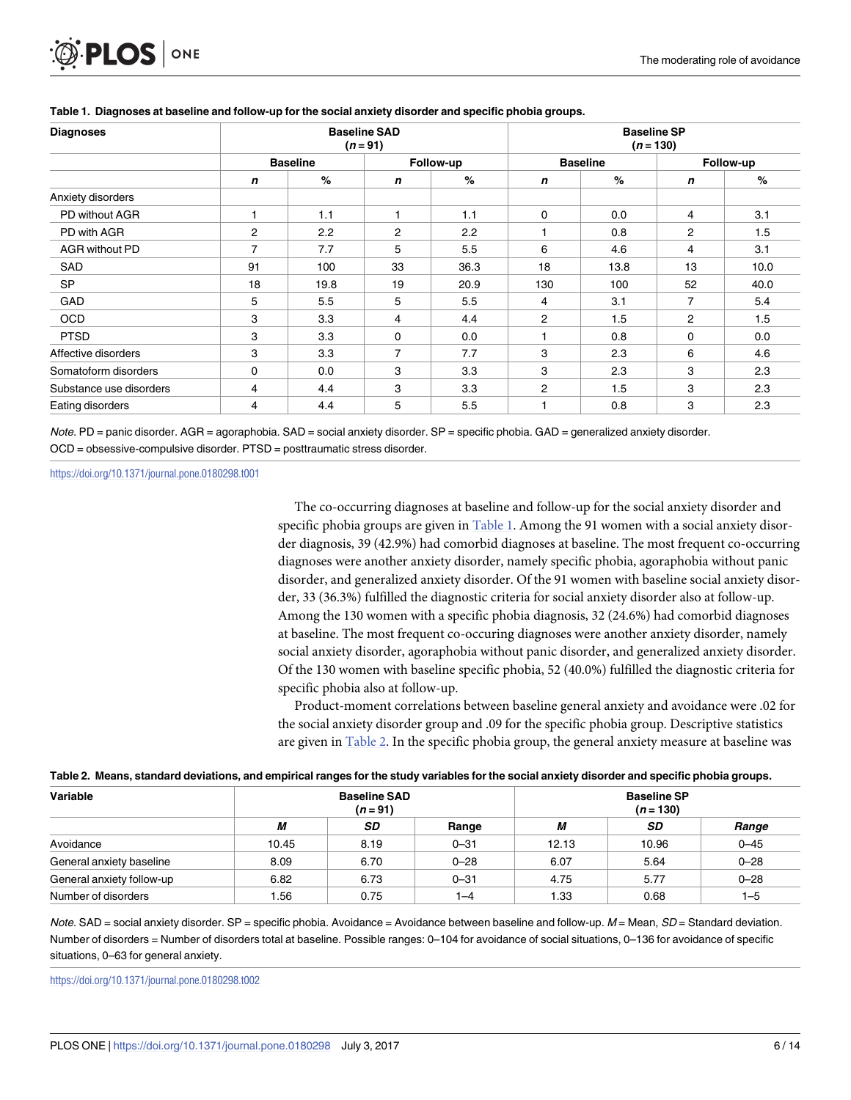

| <b>Diagnoses</b>        | <b>Baseline SAD</b><br>$(n = 91)$ |      |                |      | <b>Baseline SP</b><br>$(n = 130)$ |      |                |      |
|-------------------------|-----------------------------------|------|----------------|------|-----------------------------------|------|----------------|------|
|                         | <b>Baseline</b>                   |      | Follow-up      |      | <b>Baseline</b>                   |      | Follow-up      |      |
|                         | n                                 | %    | n              | $\%$ | n                                 | %    | n              | %    |
| Anxiety disorders       |                                   |      |                |      |                                   |      |                |      |
| PD without AGR          |                                   | 1.1  |                | 1.1  | 0                                 | 0.0  | 4              | 3.1  |
| PD with AGR             | $\overline{2}$                    | 2.2  | $\overline{2}$ | 2.2  |                                   | 0.8  | $\overline{c}$ | 1.5  |
| AGR without PD          | $\overline{7}$                    | 7.7  | 5              | 5.5  | 6                                 | 4.6  | 4              | 3.1  |
| SAD                     | 91                                | 100  | 33             | 36.3 | 18                                | 13.8 | 13             | 10.0 |
| <b>SP</b>               | 18                                | 19.8 | 19             | 20.9 | 130                               | 100  | 52             | 40.0 |
| GAD                     | 5                                 | 5.5  | 5              | 5.5  | 4                                 | 3.1  | 7              | 5.4  |
| <b>OCD</b>              | 3                                 | 3.3  | 4              | 4.4  | $\overline{2}$                    | 1.5  | $\overline{2}$ | 1.5  |
| <b>PTSD</b>             | 3                                 | 3.3  | 0              | 0.0  | 1                                 | 0.8  | $\mathbf{0}$   | 0.0  |
| Affective disorders     | 3                                 | 3.3  | $\overline{7}$ | 7.7  | 3                                 | 2.3  | 6              | 4.6  |
| Somatoform disorders    | 0                                 | 0.0  | 3              | 3.3  | 3                                 | 2.3  | 3              | 2.3  |
| Substance use disorders | 4                                 | 4.4  | 3              | 3.3  | 2                                 | 1.5  | 3              | 2.3  |
| Eating disorders        | 4                                 | 4.4  | 5              | 5.5  |                                   | 0.8  | 3              | 2.3  |

#### **Table 1. Diagnoses at baseline and follow-up for the social anxiety disorder and specific phobia groups.**

Note. PD = panic disorder. AGR = agoraphobia. SAD = social anxiety disorder. SP = specific phobia. GAD = generalized anxiety disorder. OCD = obsessive-compulsive disorder. PTSD = posttraumatic stress disorder.

<https://doi.org/10.1371/journal.pone.0180298.t001>

The co-occurring diagnoses at baseline and follow-up for the social anxiety disorder and specific phobia groups are given in Table 1. Among the 91 women with a social anxiety disorder diagnosis, 39 (42.9%) had comorbid diagnoses at baseline. The most frequent co-occurring diagnoses were another anxiety disorder, namely specific phobia, agoraphobia without panic disorder, and generalized anxiety disorder. Of the 91 women with baseline social anxiety disorder, 33 (36.3%) fulfilled the diagnostic criteria for social anxiety disorder also at follow-up. Among the 130 women with a specific phobia diagnosis, 32 (24.6%) had comorbid diagnoses at baseline. The most frequent co-occuring diagnoses were another anxiety disorder, namely social anxiety disorder, agoraphobia without panic disorder, and generalized anxiety disorder. Of the 130 women with baseline specific phobia, 52 (40.0%) fulfilled the diagnostic criteria for specific phobia also at follow-up.

Product-moment correlations between baseline general anxiety and avoidance were .02 for the social anxiety disorder group and .09 for the specific phobia group. Descriptive statistics are given in Table 2. In the specific phobia group, the general anxiety measure at baseline was

| Variable                  |       | <b>Baseline SAD</b><br>$(n = 91)$ |          | <b>Baseline SP</b><br>$(n = 130)$ |           |          |  |  |  |
|---------------------------|-------|-----------------------------------|----------|-----------------------------------|-----------|----------|--|--|--|
|                           | М     | SD                                | Range    | М                                 | <b>SD</b> | Range    |  |  |  |
| Avoidance                 | 10.45 | 8.19                              | $0 - 31$ | 12.13                             | 10.96     | $0 - 45$ |  |  |  |
| General anxiety baseline  | 8.09  | 6.70                              | $0 - 28$ | 6.07                              | 5.64      | $0 - 28$ |  |  |  |
| General anxiety follow-up | 6.82  | 6.73                              | $0 - 31$ | 4.75                              | 5.77      | $0 - 28$ |  |  |  |
| Number of disorders       | .56   | 0.75                              | $ -4$    | 1.33                              | 0.68      | $1 - 5$  |  |  |  |

#### Table 2. Means, standard deviations, and empirical ranges for the study variables for the social anxiety disorder and specific phobia groups.

Note. SAD = social anxiety disorder. SP = specific phobia. Avoidance = Avoidance between baseline and follow-up.  $M =$  Mean,  $SD =$  Standard deviation. Number of disorders = Number of disorders total at baseline. Possible ranges: 0–104 for avoidance of social situations, 0–136 for avoidance of specific situations, 0–63 for general anxiety.

<https://doi.org/10.1371/journal.pone.0180298.t002>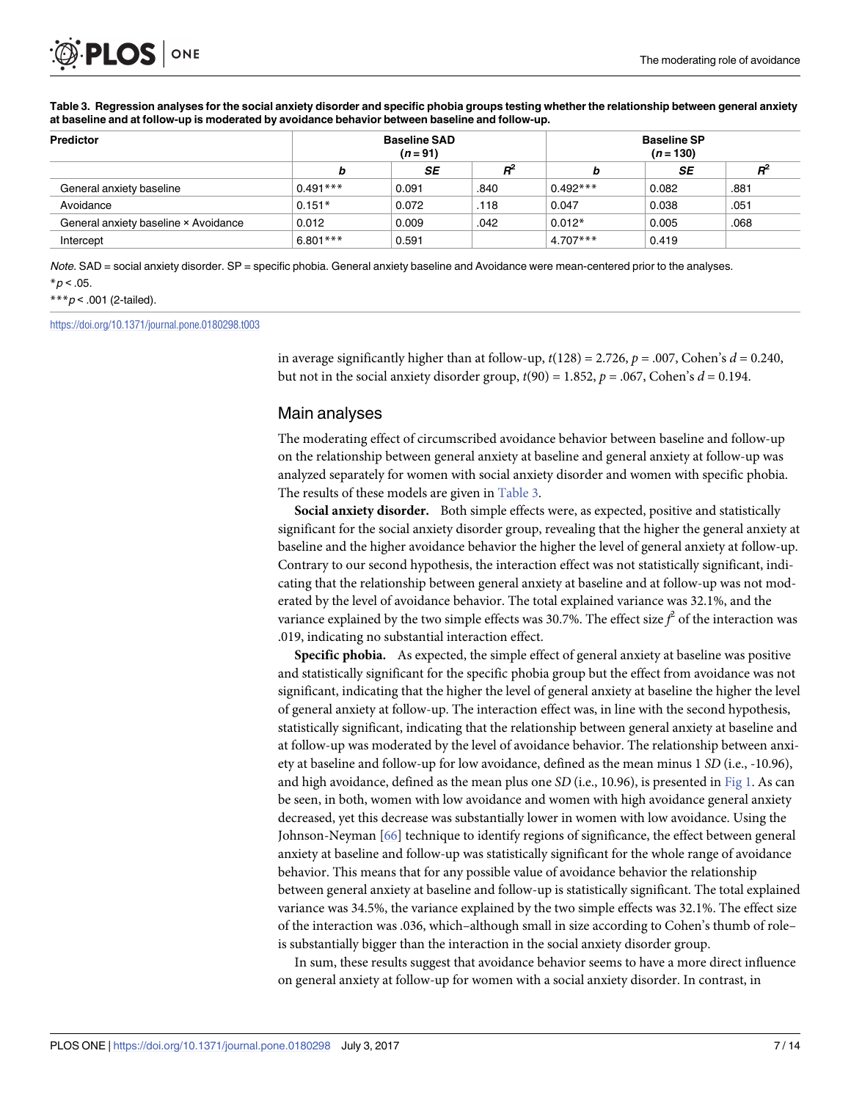<span id="page-6-0"></span>

| Predictor                            |            | <b>Baseline SAD</b><br>$(n = 91)$ |       | <b>Baseline SP</b><br>$(n = 130)$ |       |      |  |
|--------------------------------------|------------|-----------------------------------|-------|-----------------------------------|-------|------|--|
|                                      |            | SE                                | $R^2$ | b                                 | SE    |      |  |
| General anxiety baseline             | $0.491***$ | 0.091                             | .840  | $0.492***$                        | 0.082 | .881 |  |
| Avoidance                            | $0.151*$   | 0.072                             | .118  | 0.047                             | 0.038 | .051 |  |
| General anxiety baseline × Avoidance | 0.012      | 0.009                             | .042  | $0.012*$                          | 0.005 | .068 |  |
| Intercept                            | $6.801***$ | 0.591                             |       | $4.707***$                        | 0.419 |      |  |

Table 3. Regression analyses for the social anxiety disorder and specific phobia groups testing whether the relationship between general anxiety **at baseline and at follow-up is moderated by avoidance behavior between baseline and follow-up.**

Note. SAD = social anxiety disorder. SP = specific phobia. General anxiety baseline and Avoidance were mean-centered prior to the analyses.  $*p < .05$ .

#### \*\*\* $p$  < .001 (2-tailed).

<https://doi.org/10.1371/journal.pone.0180298.t003>

in average significantly higher than at follow-up,  $t(128) = 2.726$ ,  $p = .007$ , Cohen's  $d = 0.240$ , but not in the social anxiety disorder group,  $t(90) = 1.852$ ,  $p = .067$ , Cohen's  $d = 0.194$ .

### Main analyses

The moderating effect of circumscribed avoidance behavior between baseline and follow-up on the relationship between general anxiety at baseline and general anxiety at follow-up was analyzed separately for women with social anxiety disorder and women with specific phobia. The results of these models are given in Table 3.

**Social anxiety disorder.** Both simple effects were, as expected, positive and statistically significant for the social anxiety disorder group, revealing that the higher the general anxiety at baseline and the higher avoidance behavior the higher the level of general anxiety at follow-up. Contrary to our second hypothesis, the interaction effect was not statistically significant, indicating that the relationship between general anxiety at baseline and at follow-up was not moderated by the level of avoidance behavior. The total explained variance was 32.1%, and the variance explained by the two simple effects was 30.7%. The effect size  $f^2$  of the interaction was .019, indicating no substantial interaction effect.

**Specific phobia.** As expected, the simple effect of general anxiety at baseline was positive and statistically significant for the specific phobia group but the effect from avoidance was not significant, indicating that the higher the level of general anxiety at baseline the higher the level of general anxiety at follow-up. The interaction effect was, in line with the second hypothesis, statistically significant, indicating that the relationship between general anxiety at baseline and at follow-up was moderated by the level of avoidance behavior. The relationship between anxiety at baseline and follow-up for low avoidance, defined as the mean minus 1 *SD* (i.e., -10.96), and high avoidance, defined as the mean plus one *SD* (i.e., 10.96), is presented in [Fig](#page-7-0) 1. As can be seen, in both, women with low avoidance and women with high avoidance general anxiety decreased, yet this decrease was substantially lower in women with low avoidance. Using the Johnson-Neyman [[66](#page-12-0)] technique to identify regions of significance, the effect between general anxiety at baseline and follow-up was statistically significant for the whole range of avoidance behavior. This means that for any possible value of avoidance behavior the relationship between general anxiety at baseline and follow-up is statistically significant. The total explained variance was 34.5%, the variance explained by the two simple effects was 32.1%. The effect size of the interaction was .036, which–although small in size according to Cohen's thumb of role– is substantially bigger than the interaction in the social anxiety disorder group.

In sum, these results suggest that avoidance behavior seems to have a more direct influence on general anxiety at follow-up for women with a social anxiety disorder. In contrast, in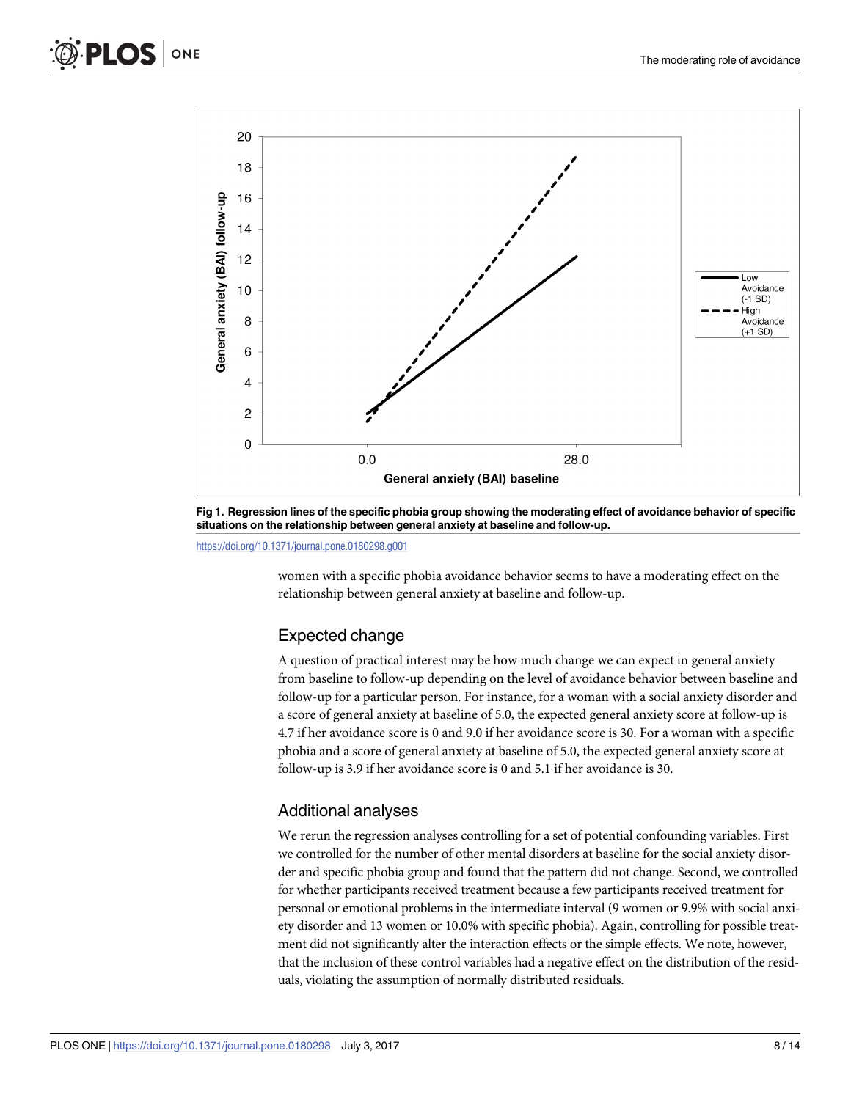<span id="page-7-0"></span>

[Fig](#page-6-0) 1. Regression lines of the specific phobia group showing the moderating effect of avoidance behavior of specific **situations on the relationship between general anxiety at baseline and follow-up.**

<https://doi.org/10.1371/journal.pone.0180298.g001>

women with a specific phobia avoidance behavior seems to have a moderating effect on the relationship between general anxiety at baseline and follow-up.

### Expected change

A question of practical interest may be how much change we can expect in general anxiety from baseline to follow-up depending on the level of avoidance behavior between baseline and follow-up for a particular person. For instance, for a woman with a social anxiety disorder and a score of general anxiety at baseline of 5.0, the expected general anxiety score at follow-up is 4.7 if her avoidance score is 0 and 9.0 if her avoidance score is 30. For a woman with a specific phobia and a score of general anxiety at baseline of 5.0, the expected general anxiety score at follow-up is 3.9 if her avoidance score is 0 and 5.1 if her avoidance is 30.

### Additional analyses

We rerun the regression analyses controlling for a set of potential confounding variables. First we controlled for the number of other mental disorders at baseline for the social anxiety disorder and specific phobia group and found that the pattern did not change. Second, we controlled for whether participants received treatment because a few participants received treatment for personal or emotional problems in the intermediate interval (9 women or 9.9% with social anxiety disorder and 13 women or 10.0% with specific phobia). Again, controlling for possible treatment did not significantly alter the interaction effects or the simple effects. We note, however, that the inclusion of these control variables had a negative effect on the distribution of the residuals, violating the assumption of normally distributed residuals.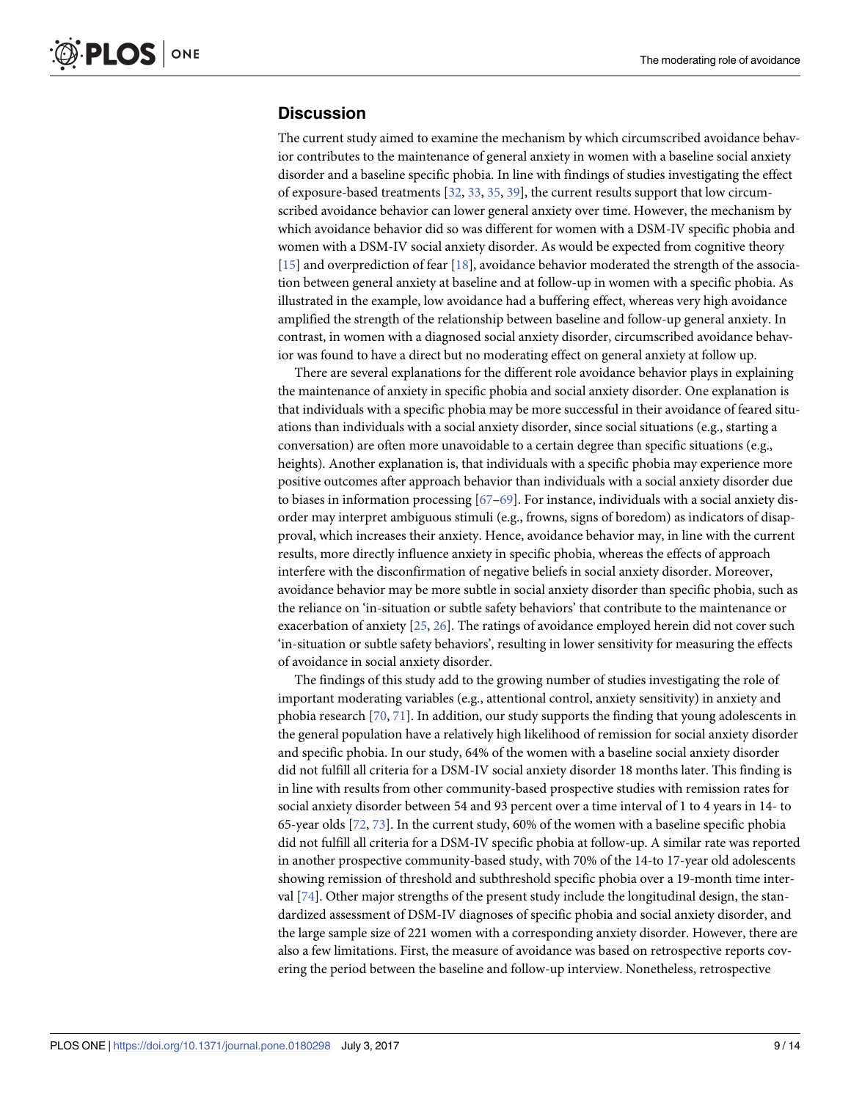# <span id="page-8-0"></span>**Discussion**

The current study aimed to examine the mechanism by which circumscribed avoidance behavior contributes to the maintenance of general anxiety in women with a baseline social anxiety disorder and a baseline specific phobia. In line with findings of studies investigating the effect of exposure-based treatments [[32](#page-11-0), [33](#page-11-0), [35](#page-11-0), [39](#page-11-0)], the current results support that low circumscribed avoidance behavior can lower general anxiety over time. However, the mechanism by which avoidance behavior did so was different for women with a DSM-IV specific phobia and women with a DSM-IV social anxiety disorder. As would be expected from cognitive theory [\[15\]](#page-10-0) and overprediction of fear [[18](#page-10-0)], avoidance behavior moderated the strength of the association between general anxiety at baseline and at follow-up in women with a specific phobia. As illustrated in the example, low avoidance had a buffering effect, whereas very high avoidance amplified the strength of the relationship between baseline and follow-up general anxiety. In contrast, in women with a diagnosed social anxiety disorder, circumscribed avoidance behavior was found to have a direct but no moderating effect on general anxiety at follow up.

There are several explanations for the different role avoidance behavior plays in explaining the maintenance of anxiety in specific phobia and social anxiety disorder. One explanation is that individuals with a specific phobia may be more successful in their avoidance of feared situations than individuals with a social anxiety disorder, since social situations (e.g., starting a conversation) are often more unavoidable to a certain degree than specific situations (e.g., heights). Another explanation is, that individuals with a specific phobia may experience more positive outcomes after approach behavior than individuals with a social anxiety disorder due to biases in information processing [\[67–69](#page-13-0)]. For instance, individuals with a social anxiety disorder may interpret ambiguous stimuli (e.g., frowns, signs of boredom) as indicators of disapproval, which increases their anxiety. Hence, avoidance behavior may, in line with the current results, more directly influence anxiety in specific phobia, whereas the effects of approach interfere with the disconfirmation of negative beliefs in social anxiety disorder. Moreover, avoidance behavior may be more subtle in social anxiety disorder than specific phobia, such as the reliance on 'in-situation or subtle safety behaviors' that contribute to the maintenance or exacerbation of anxiety [[25](#page-11-0), [26](#page-11-0)]. The ratings of avoidance employed herein did not cover such 'in-situation or subtle safety behaviors', resulting in lower sensitivity for measuring the effects of avoidance in social anxiety disorder.

The findings of this study add to the growing number of studies investigating the role of important moderating variables (e.g., attentional control, anxiety sensitivity) in anxiety and phobia research [[70](#page-13-0), [71](#page-13-0)]. In addition, our study supports the finding that young adolescents in the general population have a relatively high likelihood of remission for social anxiety disorder and specific phobia. In our study, 64% of the women with a baseline social anxiety disorder did not fulfill all criteria for a DSM-IV social anxiety disorder 18 months later. This finding is in line with results from other community-based prospective studies with remission rates for social anxiety disorder between 54 and 93 percent over a time interval of 1 to 4 years in 14- to 65-year olds [\[72,](#page-13-0) [73\]](#page-13-0). In the current study, 60% of the women with a baseline specific phobia did not fulfill all criteria for a DSM-IV specific phobia at follow-up. A similar rate was reported in another prospective community-based study, with 70% of the 14-to 17-year old adolescents showing remission of threshold and subthreshold specific phobia over a 19-month time interval [[74](#page-13-0)]. Other major strengths of the present study include the longitudinal design, the standardized assessment of DSM-IV diagnoses of specific phobia and social anxiety disorder, and the large sample size of 221 women with a corresponding anxiety disorder. However, there are also a few limitations. First, the measure of avoidance was based on retrospective reports covering the period between the baseline and follow-up interview. Nonetheless, retrospective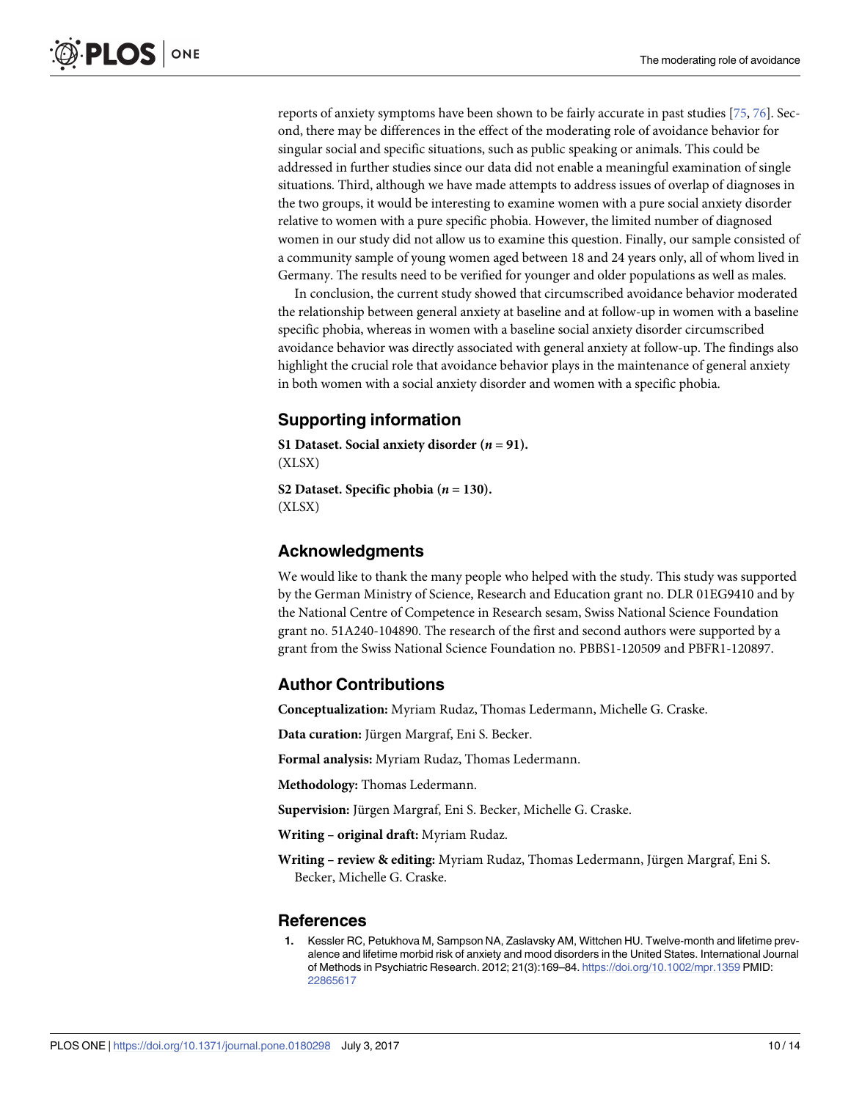<span id="page-9-0"></span>reports of anxiety symptoms have been shown to be fairly accurate in past studies [[75](#page-13-0), [76](#page-13-0)]. Second, there may be differences in the effect of the moderating role of avoidance behavior for singular social and specific situations, such as public speaking or animals. This could be addressed in further studies since our data did not enable a meaningful examination of single situations. Third, although we have made attempts to address issues of overlap of diagnoses in the two groups, it would be interesting to examine women with a pure social anxiety disorder relative to women with a pure specific phobia. However, the limited number of diagnosed women in our study did not allow us to examine this question. Finally, our sample consisted of a community sample of young women aged between 18 and 24 years only, all of whom lived in Germany. The results need to be verified for younger and older populations as well as males.

In conclusion, the current study showed that circumscribed avoidance behavior moderated the relationship between general anxiety at baseline and at follow-up in women with a baseline specific phobia, whereas in women with a baseline social anxiety disorder circumscribed avoidance behavior was directly associated with general anxiety at follow-up. The findings also highlight the crucial role that avoidance behavior plays in the maintenance of general anxiety in both women with a social anxiety disorder and women with a specific phobia.

## **Supporting information**

**S1 [Dataset.](http://www.plosone.org/article/fetchSingleRepresentation.action?uri=info:doi/10.1371/journal.pone.0180298.s001) Social anxiety disorder (***n* **= 91).** (XLSX)

**S2** [Dataset.](http://www.plosone.org/article/fetchSingleRepresentation.action?uri=info:doi/10.1371/journal.pone.0180298.s002) Specific phobia  $(n = 130)$ . (XLSX)

### **Acknowledgments**

We would like to thank the many people who helped with the study. This study was supported by the German Ministry of Science, Research and Education grant no. DLR 01EG9410 and by the National Centre of Competence in Research sesam, Swiss National Science Foundation grant no. 51A240-104890. The research of the first and second authors were supported by a grant from the Swiss National Science Foundation no. PBBS1-120509 and PBFR1-120897.

### **Author Contributions**

**Conceptualization:** Myriam Rudaz, Thomas Ledermann, Michelle G. Craske.

**Data curation:** Jürgen Margraf, Eni S. Becker.

**Formal analysis:** Myriam Rudaz, Thomas Ledermann.

**Methodology:** Thomas Ledermann.

Supervision: Jürgen Margraf, Eni S. Becker, Michelle G. Craske.

**Writing – original draft:** Myriam Rudaz.

**Writing** – **review & editing:** Myriam Rudaz, Thomas Ledermann, Jürgen Margraf, Eni S. Becker, Michelle G. Craske.

### **References**

**[1](#page-0-0).** Kessler RC, Petukhova M, Sampson NA, Zaslavsky AM, Wittchen HU. Twelve-month and lifetime prevalence and lifetime morbid risk of anxiety and mood disorders in the United States. International Journal of Methods in Psychiatric Research. 2012; 21(3):169–84. <https://doi.org/10.1002/mpr.1359> PMID: [22865617](http://www.ncbi.nlm.nih.gov/pubmed/22865617)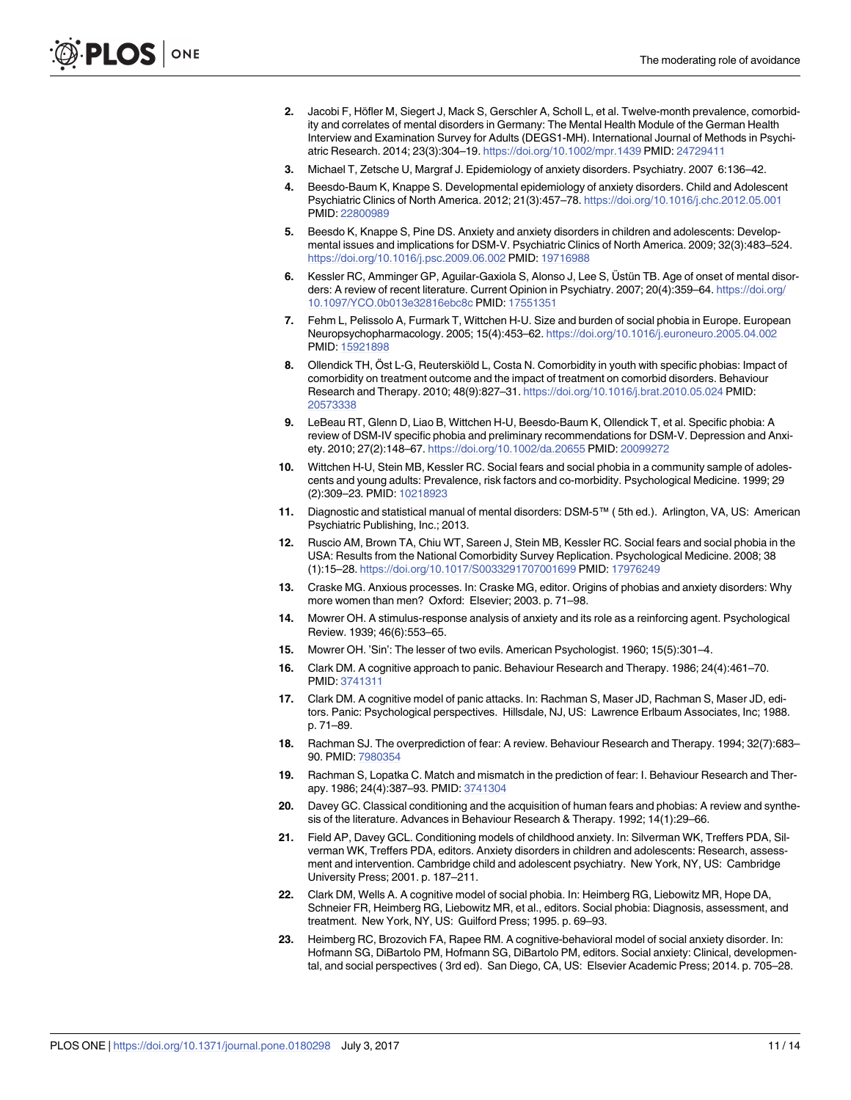- <span id="page-10-0"></span>**[2](#page-0-0).** Jacobi F, Höfler M, Siegert J, Mack S, Gerschler A, Scholl L, et al. Twelve-month prevalence, comorbidity and correlates of mental disorders in Germany: The Mental Health Module of the German Health Interview and Examination Survey for Adults (DEGS1-MH). International Journal of Methods in Psychiatric Research. 2014; 23(3):304–19. <https://doi.org/10.1002/mpr.1439> PMID: [24729411](http://www.ncbi.nlm.nih.gov/pubmed/24729411)
- **[3](#page-0-0).** Michael T, Zetsche U, Margraf J. Epidemiology of anxiety disorders. Psychiatry. 2007 6:136–42.
- **[4](#page-0-0).** Beesdo-Baum K, Knappe S. Developmental epidemiology of anxiety disorders. Child and Adolescent Psychiatric Clinics of North America. 2012; 21(3):457–78. <https://doi.org/10.1016/j.chc.2012.05.001> PMID: [22800989](http://www.ncbi.nlm.nih.gov/pubmed/22800989)
- **5.** Beesdo K, Knappe S, Pine DS. Anxiety and anxiety disorders in children and adolescents: Developmental issues and implications for DSM-V. Psychiatric Clinics of North America. 2009; 32(3):483–524. <https://doi.org/10.1016/j.psc.2009.06.002> PMID: [19716988](http://www.ncbi.nlm.nih.gov/pubmed/19716988)
- **[6](#page-0-0).** Kessler RC, Amminger GP, Aguilar-Gaxiola S, Alonso J, Lee S, Üstün TB. Age of onset of mental disorders: A review of recent literature. Current Opinion in Psychiatry. 2007; 20(4):359–64. [https://doi.org/](https://doi.org/10.1097/YCO.0b013e32816ebc8c) [10.1097/YCO.0b013e32816ebc8c](https://doi.org/10.1097/YCO.0b013e32816ebc8c) PMID: [17551351](http://www.ncbi.nlm.nih.gov/pubmed/17551351)
- **[7](#page-1-0).** Fehm L, Pelissolo A, Furmark T, Wittchen H-U. Size and burden of social phobia in Europe. European Neuropsychopharmacology. 2005; 15(4):453–62. <https://doi.org/10.1016/j.euroneuro.2005.04.002> PMID: [15921898](http://www.ncbi.nlm.nih.gov/pubmed/15921898)
- **[8](#page-1-0).** Ollendick TH, Öst L-G, Reuterskiöld L, Costa N. Comorbidity in youth with specific phobias: Impact of comorbidity on treatment outcome and the impact of treatment on comorbid disorders. Behaviour Research and Therapy. 2010; 48(9):827–31. <https://doi.org/10.1016/j.brat.2010.05.024> PMID: [20573338](http://www.ncbi.nlm.nih.gov/pubmed/20573338)
- **[9](#page-1-0).** LeBeau RT, Glenn D, Liao B, Wittchen H-U, Beesdo-Baum K, Ollendick T, et al. Specific phobia: A review of DSM-IV specific phobia and preliminary recommendations for DSM-V. Depression and Anxiety. 2010; 27(2):148–67. <https://doi.org/10.1002/da.20655> PMID: [20099272](http://www.ncbi.nlm.nih.gov/pubmed/20099272)
- **[10](#page-1-0).** Wittchen H-U, Stein MB, Kessler RC. Social fears and social phobia in a community sample of adolescents and young adults: Prevalence, risk factors and co-morbidity. Psychological Medicine. 1999; 29 (2):309–23. PMID: [10218923](http://www.ncbi.nlm.nih.gov/pubmed/10218923)
- **[11](#page-1-0).** Diagnostic and statistical manual of mental disorders: DSM-5™ ( 5th ed.). Arlington, VA, US: American Psychiatric Publishing, Inc.; 2013.
- **[12](#page-1-0).** Ruscio AM, Brown TA, Chiu WT, Sareen J, Stein MB, Kessler RC. Social fears and social phobia in the USA: Results from the National Comorbidity Survey Replication. Psychological Medicine. 2008; 38 (1):15–28. <https://doi.org/10.1017/S0033291707001699> PMID: [17976249](http://www.ncbi.nlm.nih.gov/pubmed/17976249)
- **[13](#page-1-0).** Craske MG. Anxious processes. In: Craske MG, editor. Origins of phobias and anxiety disorders: Why more women than men? Oxford: Elsevier; 2003. p. 71–98.
- **[14](#page-1-0).** Mowrer OH. A stimulus-response analysis of anxiety and its role as a reinforcing agent. Psychological Review. 1939; 46(6):553–65.
- **[15](#page-1-0).** Mowrer OH. 'Sin': The lesser of two evils. American Psychologist. 1960; 15(5):301–4.
- **[16](#page-1-0).** Clark DM. A cognitive approach to panic. Behaviour Research and Therapy. 1986; 24(4):461–70. PMID: [3741311](http://www.ncbi.nlm.nih.gov/pubmed/3741311)
- **[17](#page-1-0).** Clark DM. A cognitive model of panic attacks. In: Rachman S, Maser JD, Rachman S, Maser JD, editors. Panic: Psychological perspectives. Hillsdale, NJ, US: Lawrence Erlbaum Associates, Inc; 1988. p. 71–89.
- **[18](#page-1-0).** Rachman SJ. The overprediction of fear: A review. Behaviour Research and Therapy. 1994; 32(7):683– 90. PMID: [7980354](http://www.ncbi.nlm.nih.gov/pubmed/7980354)
- **[19](#page-1-0).** Rachman S, Lopatka C. Match and mismatch in the prediction of fear: I. Behaviour Research and Therapy. 1986; 24(4):387–93. PMID: [3741304](http://www.ncbi.nlm.nih.gov/pubmed/3741304)
- **[20](#page-1-0).** Davey GC. Classical conditioning and the acquisition of human fears and phobias: A review and synthesis of the literature. Advances in Behaviour Research & Therapy. 1992; 14(1):29–66.
- **[21](#page-1-0).** Field AP, Davey GCL. Conditioning models of childhood anxiety. In: Silverman WK, Treffers PDA, Silverman WK, Treffers PDA, editors. Anxiety disorders in children and adolescents: Research, assessment and intervention. Cambridge child and adolescent psychiatry. New York, NY, US: Cambridge University Press; 2001. p. 187–211.
- **[22](#page-1-0).** Clark DM, Wells A. A cognitive model of social phobia. In: Heimberg RG, Liebowitz MR, Hope DA, Schneier FR, Heimberg RG, Liebowitz MR, et al., editors. Social phobia: Diagnosis, assessment, and treatment. New York, NY, US: Guilford Press; 1995. p. 69–93.
- **23.** Heimberg RC, Brozovich FA, Rapee RM. A cognitive-behavioral model of social anxiety disorder. In: Hofmann SG, DiBartolo PM, Hofmann SG, DiBartolo PM, editors. Social anxiety: Clinical, developmental, and social perspectives ( 3rd ed). San Diego, CA, US: Elsevier Academic Press; 2014. p. 705–28.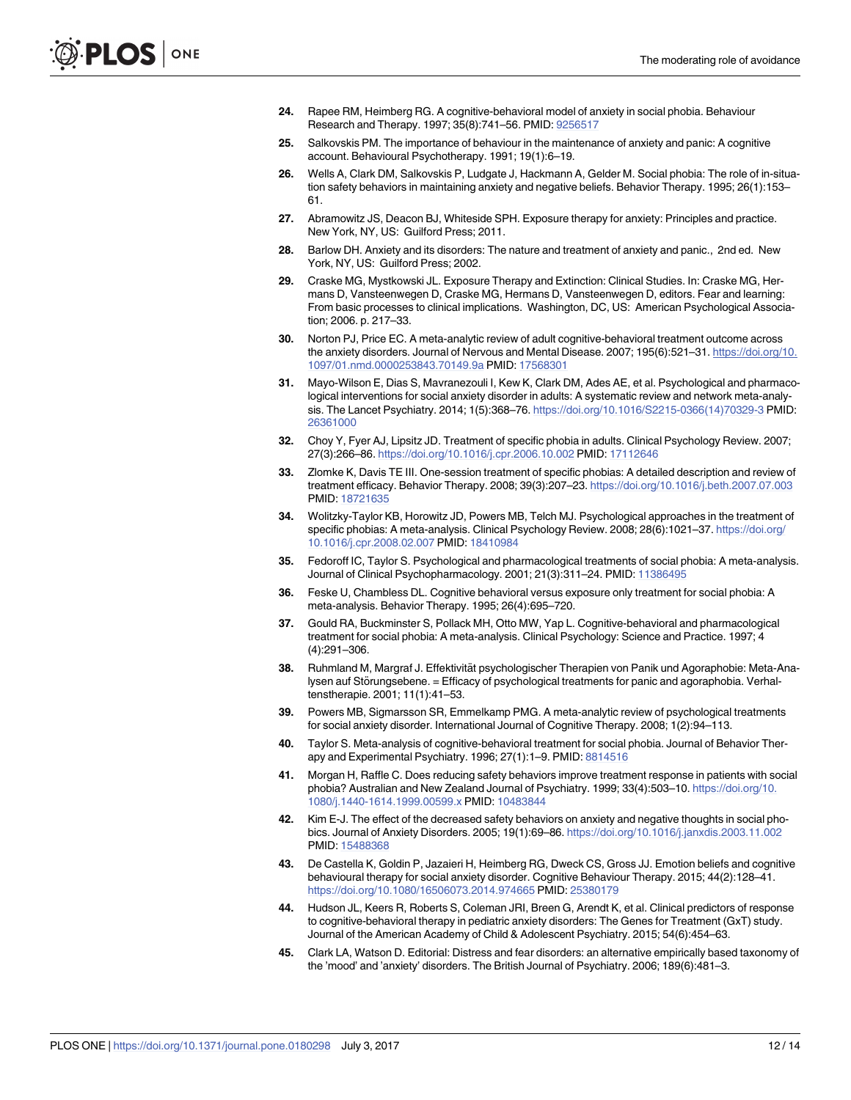- <span id="page-11-0"></span>**[24](#page-1-0).** Rapee RM, Heimberg RG. A cognitive-behavioral model of anxiety in social phobia. Behaviour Research and Therapy. 1997; 35(8):741–56. PMID: [9256517](http://www.ncbi.nlm.nih.gov/pubmed/9256517)
- **[25](#page-1-0).** Salkovskis PM. The importance of behaviour in the maintenance of anxiety and panic: A cognitive account. Behavioural Psychotherapy. 1991; 19(1):6–19.
- **[26](#page-1-0).** Wells A, Clark DM, Salkovskis P, Ludgate J, Hackmann A, Gelder M. Social phobia: The role of in-situation safety behaviors in maintaining anxiety and negative beliefs. Behavior Therapy. 1995; 26(1):153– 61.
- **[27](#page-1-0).** Abramowitz JS, Deacon BJ, Whiteside SPH. Exposure therapy for anxiety: Principles and practice. New York, NY, US: Guilford Press; 2011.
- **28.** Barlow DH. Anxiety and its disorders: The nature and treatment of anxiety and panic., 2nd ed. New York, NY, US: Guilford Press; 2002.
- **29.** Craske MG, Mystkowski JL. Exposure Therapy and Extinction: Clinical Studies. In: Craske MG, Hermans D, Vansteenwegen D, Craske MG, Hermans D, Vansteenwegen D, editors. Fear and learning: From basic processes to clinical implications. Washington, DC, US: American Psychological Association; 2006. p. 217–33.
- **[30](#page-1-0).** Norton PJ, Price EC. A meta-analytic review of adult cognitive-behavioral treatment outcome across the anxiety disorders. Journal of Nervous and Mental Disease. 2007; 195(6):521–31. [https://doi.org/10.](https://doi.org/10.1097/01.nmd.0000253843.70149.9a) [1097/01.nmd.0000253843.70149.9a](https://doi.org/10.1097/01.nmd.0000253843.70149.9a) PMID: [17568301](http://www.ncbi.nlm.nih.gov/pubmed/17568301)
- **[31](#page-1-0).** Mayo-Wilson E, Dias S, Mavranezouli I, Kew K, Clark DM, Ades AE, et al. Psychological and pharmacological interventions for social anxiety disorder in adults: A systematic review and network meta-analysis. The Lancet Psychiatry. 2014; 1(5):368–76. [https://doi.org/10.1016/S2215-0366\(14\)70329-3](https://doi.org/10.1016/S2215-0366(14)70329-3) PMID: [26361000](http://www.ncbi.nlm.nih.gov/pubmed/26361000)
- **[32](#page-1-0).** Choy Y, Fyer AJ, Lipsitz JD. Treatment of specific phobia in adults. Clinical Psychology Review. 2007; 27(3):266–86. <https://doi.org/10.1016/j.cpr.2006.10.002> PMID: [17112646](http://www.ncbi.nlm.nih.gov/pubmed/17112646)
- **[33](#page-1-0).** Zlomke K, Davis TE III. One-session treatment of specific phobias: A detailed description and review of treatment efficacy. Behavior Therapy. 2008; 39(3):207–23. <https://doi.org/10.1016/j.beth.2007.07.003> PMID: [18721635](http://www.ncbi.nlm.nih.gov/pubmed/18721635)
- **[34](#page-1-0).** Wolitzky-Taylor KB, Horowitz JD, Powers MB, Telch MJ. Psychological approaches in the treatment of specific phobias: A meta-analysis. Clinical Psychology Review. 2008; 28(6):1021–37. [https://doi.org/](https://doi.org/10.1016/j.cpr.2008.02.007) [10.1016/j.cpr.2008.02.007](https://doi.org/10.1016/j.cpr.2008.02.007) PMID: [18410984](http://www.ncbi.nlm.nih.gov/pubmed/18410984)
- **[35](#page-1-0).** Fedoroff IC, Taylor S. Psychological and pharmacological treatments of social phobia: A meta-analysis. Journal of Clinical Psychopharmacology. 2001; 21(3):311–24. PMID: [11386495](http://www.ncbi.nlm.nih.gov/pubmed/11386495)
- **36.** Feske U, Chambless DL. Cognitive behavioral versus exposure only treatment for social phobia: A meta-analysis. Behavior Therapy. 1995; 26(4):695–720.
- **37.** Gould RA, Buckminster S, Pollack MH, Otto MW, Yap L. Cognitive-behavioral and pharmacological treatment for social phobia: A meta-analysis. Clinical Psychology: Science and Practice. 1997; 4 (4):291–306.
- **38.** Ruhmland M, Margraf J. Effektivität psychologischer Therapien von Panik und Agoraphobie: Meta-Analysen auf Störungsebene. = Efficacy of psychological treatments for panic and agoraphobia. Verhaltenstherapie. 2001; 11(1):41–53.
- **[39](#page-1-0).** Powers MB, Sigmarsson SR, Emmelkamp PMG. A meta-analytic review of psychological treatments for social anxiety disorder. International Journal of Cognitive Therapy. 2008; 1(2):94–113.
- **[40](#page-1-0).** Taylor S. Meta-analysis of cognitive-behavioral treatment for social phobia. Journal of Behavior Therapy and Experimental Psychiatry. 1996; 27(1):1–9. PMID: [8814516](http://www.ncbi.nlm.nih.gov/pubmed/8814516)
- **[41](#page-1-0).** Morgan H, Raffle C. Does reducing safety behaviors improve treatment response in patients with social phobia? Australian and New Zealand Journal of Psychiatry. 1999; 33(4):503–10. [https://doi.org/10.](https://doi.org/10.1080/j.1440-1614.1999.00599.x) [1080/j.1440-1614.1999.00599.x](https://doi.org/10.1080/j.1440-1614.1999.00599.x) PMID: [10483844](http://www.ncbi.nlm.nih.gov/pubmed/10483844)
- **[42](#page-1-0).** Kim E-J. The effect of the decreased safety behaviors on anxiety and negative thoughts in social phobics. Journal of Anxiety Disorders. 2005; 19(1):69–86. <https://doi.org/10.1016/j.janxdis.2003.11.002> PMID: [15488368](http://www.ncbi.nlm.nih.gov/pubmed/15488368)
- **[43](#page-1-0).** De Castella K, Goldin P, Jazaieri H, Heimberg RG, Dweck CS, Gross JJ. Emotion beliefs and cognitive behavioural therapy for social anxiety disorder. Cognitive Behaviour Therapy. 2015; 44(2):128–41. <https://doi.org/10.1080/16506073.2014.974665> PMID: [25380179](http://www.ncbi.nlm.nih.gov/pubmed/25380179)
- **[44](#page-1-0).** Hudson JL, Keers R, Roberts S, Coleman JRI, Breen G, Arendt K, et al. Clinical predictors of response to cognitive-behavioral therapy in pediatric anxiety disorders: The Genes for Treatment (GxT) study. Journal of the American Academy of Child & Adolescent Psychiatry. 2015; 54(6):454–63.
- **[45](#page-2-0).** Clark LA, Watson D. Editorial: Distress and fear disorders: an alternative empirically based taxonomy of the 'mood' and 'anxiety' disorders. The British Journal of Psychiatry. 2006; 189(6):481–3.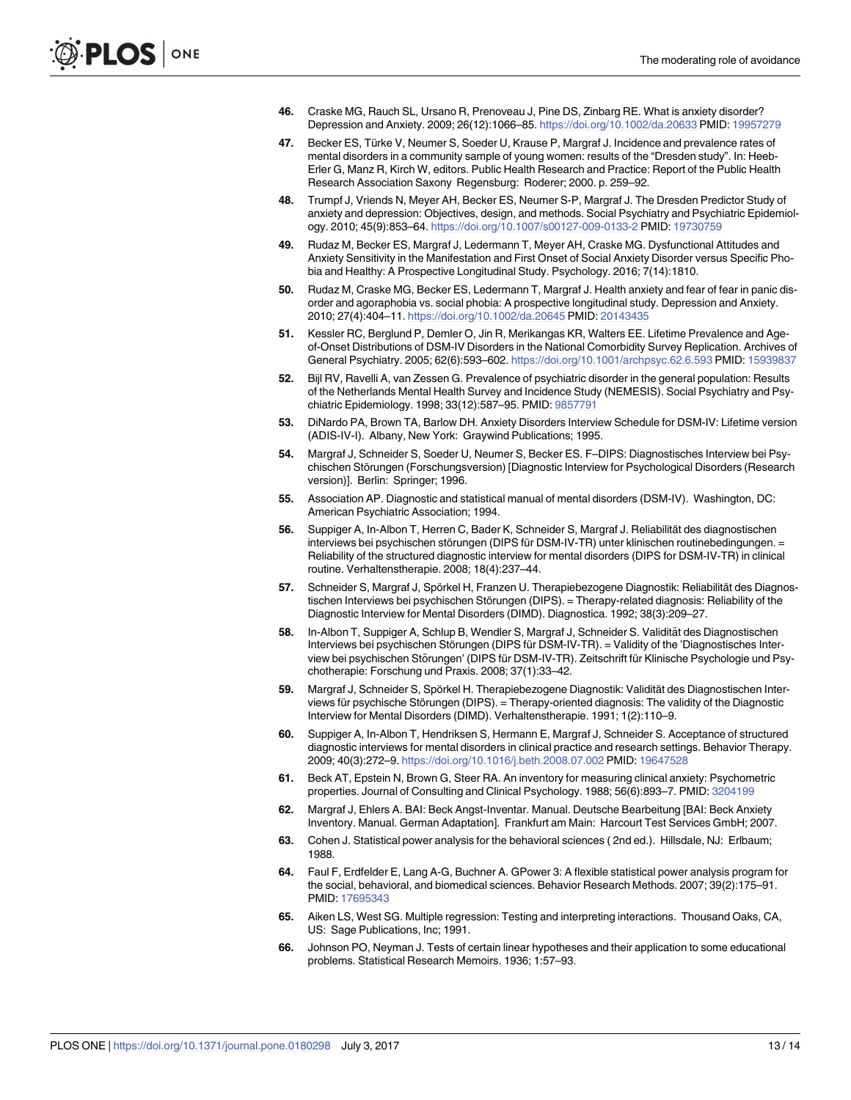- <span id="page-12-0"></span>**[46](#page-2-0).** Craske MG, Rauch SL, Ursano R, Prenoveau J, Pine DS, Zinbarg RE. What is anxiety disorder? Depression and Anxiety. 2009; 26(12):1066–85. <https://doi.org/10.1002/da.20633> PMID: [19957279](http://www.ncbi.nlm.nih.gov/pubmed/19957279)
- **[47](#page-2-0).** Becker ES, Türke V, Neumer S, Soeder U, Krause P, Margraf J. Incidence and prevalence rates of mental disorders in a community sample of young women: results of the "Dresden study". In: Heeb-Erler G, Manz R, Kirch W, editors. Public Health Research and Practice: Report of the Public Health Research Association Saxony Regensburg: Roderer; 2000. p. 259–92.
- **[48](#page-2-0).** Trumpf J, Vriends N, Meyer AH, Becker ES, Neumer S-P, Margraf J. The Dresden Predictor Study of anxiety and depression: Objectives, design, and methods. Social Psychiatry and Psychiatric Epidemiology. 2010; 45(9):853–64. <https://doi.org/10.1007/s00127-009-0133-2> PMID: [19730759](http://www.ncbi.nlm.nih.gov/pubmed/19730759)
- **49.** Rudaz M, Becker ES, Margraf J, Ledermann T, Meyer AH, Craske MG. Dysfunctional Attitudes and Anxiety Sensitivity in the Manifestation and First Onset of Social Anxiety Disorder versus Specific Phobia and Healthy: A Prospective Longitudinal Study. Psychology. 2016; 7(14):1810.
- **[50](#page-2-0).** Rudaz M, Craske MG, Becker ES, Ledermann T, Margraf J. Health anxiety and fear of fear in panic disorder and agoraphobia vs. social phobia: A prospective longitudinal study. Depression and Anxiety. 2010; 27(4):404–11. <https://doi.org/10.1002/da.20645> PMID: [20143435](http://www.ncbi.nlm.nih.gov/pubmed/20143435)
- **[51](#page-2-0).** Kessler RC, Berglund P, Demler O, Jin R, Merikangas KR, Walters EE. Lifetime Prevalence and Ageof-Onset Distributions of DSM-IV Disorders in the National Comorbidity Survey Replication. Archives of General Psychiatry. 2005; 62(6):593–602. <https://doi.org/10.1001/archpsyc.62.6.593> PMID: [15939837](http://www.ncbi.nlm.nih.gov/pubmed/15939837)
- **[52](#page-2-0).** Bijl RV, Ravelli A, van Zessen G. Prevalence of psychiatric disorder in the general population: Results of the Netherlands Mental Health Survey and Incidence Study (NEMESIS). Social Psychiatry and Psychiatric Epidemiology. 1998; 33(12):587–95. PMID: [9857791](http://www.ncbi.nlm.nih.gov/pubmed/9857791)
- **[53](#page-3-0).** DiNardo PA, Brown TA, Barlow DH. Anxiety Disorders Interview Schedule for DSM-IV: Lifetime version (ADIS-IV-I). Albany, New York: Graywind Publications; 1995.
- **[54](#page-3-0).** Margraf J, Schneider S, Soeder U, Neumer S, Becker ES. F–DIPS: Diagnostisches Interview bei Psychischen Störungen (Forschungsversion) [Diagnostic Interview for Psychological Disorders (Research version)]. Berlin: Springer; 1996.
- **[55](#page-3-0).** Association AP. Diagnostic and statistical manual of mental disorders (DSM-IV). Washington, DC: American Psychiatric Association; 1994.
- **[56](#page-3-0).** Suppiger A, In-Albon T, Herren C, Bader K, Schneider S, Margraf J. Reliabilität des diagnostischen interviews bei psychischen störungen (DIPS für DSM-IV-TR) unter klinischen routinebedingungen. = Reliability of the structured diagnostic interview for mental disorders (DIPS for DSM-IV-TR) in clinical routine. Verhaltenstherapie. 2008; 18(4):237–44.
- **[57](#page-3-0).** Schneider S, Margraf J, Spörkel H, Franzen U. Therapiebezogene Diagnostik: Reliabilität des Diagnostischen Interviews bei psychischen Störungen (DIPS). = Therapy-related diagnosis: Reliability of the Diagnostic Interview for Mental Disorders (DIMD). Diagnostica. 1992; 38(3):209–27.
- **[58](#page-3-0).** In-Albon T, Suppiger A, Schlup B, Wendler S, Margraf J, Schneider S. Validität des Diagnostischen Interviews bei psychischen Störungen (DIPS für DSM-IV-TR). = Validity of the 'Diagnostisches Interview bei psychischen Störungen' (DIPS für DSM-IV-TR). Zeitschrift für Klinische Psychologie und Psychotherapie: Forschung und Praxis. 2008; 37(1):33–42.
- **[59](#page-3-0).** Margraf J, Schneider S, Spörkel H. Therapiebezogene Diagnostik: Validität des Diagnostischen Interviews für psychische Störungen (DIPS). = Therapy-oriented diagnosis: The validity of the Diagnostic Interview for Mental Disorders (DIMD). Verhaltenstherapie. 1991; 1(2):110–9.
- **[60](#page-3-0).** Suppiger A, In-Albon T, Hendriksen S, Hermann E, Margraf J, Schneider S. Acceptance of structured diagnostic interviews for mental disorders in clinical practice and research settings. Behavior Therapy. 2009; 40(3):272–9. <https://doi.org/10.1016/j.beth.2008.07.002> PMID: [19647528](http://www.ncbi.nlm.nih.gov/pubmed/19647528)
- **[61](#page-3-0).** Beck AT, Epstein N, Brown G, Steer RA. An inventory for measuring clinical anxiety: Psychometric properties. Journal of Consulting and Clinical Psychology. 1988; 56(6):893–7. PMID: [3204199](http://www.ncbi.nlm.nih.gov/pubmed/3204199)
- **[62](#page-3-0).** Margraf J, Ehlers A. BAI: Beck Angst-Inventar. Manual. Deutsche Bearbeitung [BAI: Beck Anxiety Inventory. Manual. German Adaptation]. Frankfurt am Main: Harcourt Test Services GmbH; 2007.
- **[63](#page-4-0).** Cohen J. Statistical power analysis for the behavioral sciences ( 2nd ed.). Hillsdale, NJ: Erlbaum; 1988.
- **[64](#page-4-0).** Faul F, Erdfelder E, Lang A-G, Buchner A. GPower 3: A flexible statistical power analysis program for the social, behavioral, and biomedical sciences. Behavior Research Methods. 2007; 39(2):175–91. PMID: [17695343](http://www.ncbi.nlm.nih.gov/pubmed/17695343)
- **[65](#page-4-0).** Aiken LS, West SG. Multiple regression: Testing and interpreting interactions. Thousand Oaks, CA, US: Sage Publications, Inc; 1991.
- **[66](#page-6-0).** Johnson PO, Neyman J. Tests of certain linear hypotheses and their application to some educational problems. Statistical Research Memoirs. 1936; 1:57–93.